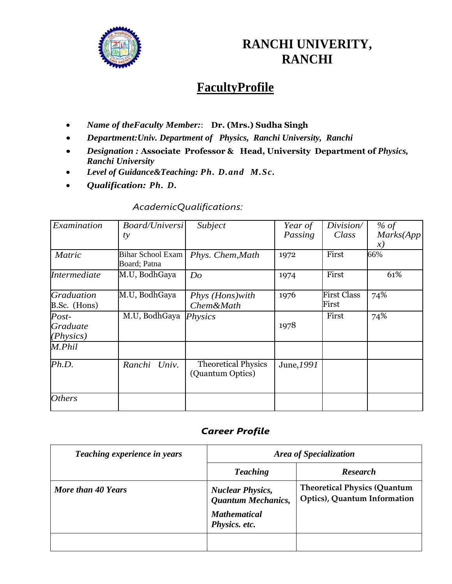

# **RANCHI UNIVERITY, RANCHI**

# **FacultyProfile**

- *Name of theFaculty Member:*: **Dr. (Mrs.) Sudha Singh**
- *Department:Univ. Department of Physics, Ranchi University, Ranchi*
- *Designation :* **Associate Professor & Head, University Department of** *Physics, Ranchi University*
- *Level of Guidance&Teaching: Ph. D.and M.Sc.*
- *Qualification: Ph. D.*

### *AcademicQualifications:*

| Examination                                    | <b>Board/Universi</b>                    | Subject                                        | Year of    | Division/                   | $%$ of        |
|------------------------------------------------|------------------------------------------|------------------------------------------------|------------|-----------------------------|---------------|
|                                                | ty                                       |                                                | Passing    | Class                       | Marks(App     |
|                                                |                                          |                                                |            |                             | $\mathcal{X}$ |
| <b>Matric</b>                                  | <b>Bihar School Exam</b><br>Board; Patna | Phys. Chem, Math                               | 1972       | First                       | 66%           |
| <b>Intermediate</b>                            | M.U, BodhGaya                            | Do                                             | 1974       | First                       | 61%           |
| <i><b>Graduation</b></i><br>B.Sc. (Hons)       | M.U, BodhGaya                            | Phys (Hons) with<br>Chem&Math                  | 1976       | <b>First Class</b><br>First | 74%           |
| $Post-$<br><i><b>Graduate</b></i><br>(Physics) | M.U, BodhGaya                            | <b>Physics</b>                                 | 1978       | First                       | 74%           |
| M.Phil                                         |                                          |                                                |            |                             |               |
| Ph.D.                                          | Ranchi Univ.                             | <b>Theoretical Physics</b><br>(Quantum Optics) | June, 1991 |                             |               |
| <i><b>Others</b></i>                           |                                          |                                                |            |                             |               |

### *Career Profile*

| Teaching experience in years | <b>Area of Specialization</b>                                                                |                                                                     |  |
|------------------------------|----------------------------------------------------------------------------------------------|---------------------------------------------------------------------|--|
|                              | <b>Teaching</b>                                                                              | <b>Research</b>                                                     |  |
| More than 40 Years           | <b>Nuclear Physics,</b><br><b>Quantum Mechanics,</b><br><b>Mathematical</b><br>Physics. etc. | <b>Theoretical Physics (Quantum</b><br>Optics), Quantum Information |  |
|                              |                                                                                              |                                                                     |  |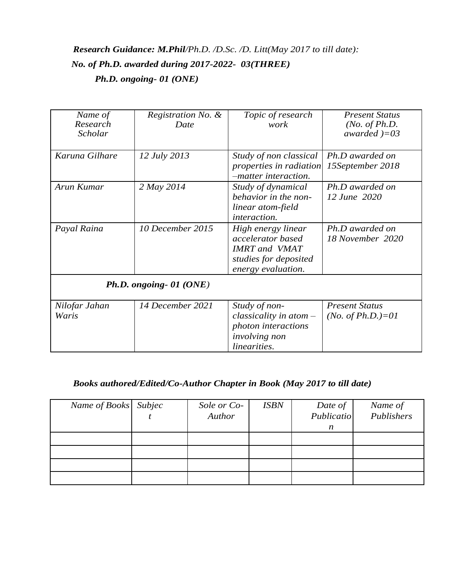## *Research Guidance: M.Phil/Ph.D. /D.Sc. /D. Litt(May 2017 to till date): No. of Ph.D. awarded during 2017-2022- 03(THREE) Ph.D. ongoing- 01 (ONE)*

| Name of<br>Research<br>Scholar | Registration No. &<br>Date | Topic of research<br>work                                                                                             | <b>Present Status</b><br>( <i>No. of Ph.D.</i><br>awarded $)=03$ |
|--------------------------------|----------------------------|-----------------------------------------------------------------------------------------------------------------------|------------------------------------------------------------------|
| Karuna Gilhare                 | 12 July 2013               | Study of non classical<br>properties in radiation<br>-matter interaction.                                             | Ph.D awarded on<br>15September 2018                              |
| Arun Kumar                     | 2 May 2014                 | Study of dynamical<br>behavior in the non-<br>linear atom-field<br>interaction.                                       | Ph.D awarded on<br>12 June 2020                                  |
| Payal Raina                    | 10 December 2015           | High energy linear<br>accelerator based<br><b>IMRT</b> and <b>VMAT</b><br>studies for deposited<br>energy evaluation. | Ph.D awarded on<br>18 November 2020                              |
|                                | Ph.D. ongoing- 01 (ONE)    |                                                                                                                       |                                                                  |
| Nilofar Jahan<br>Waris         | 14 December 2021           | Study of non-<br>$classicality$ in atom $-$<br>photon interactions<br><i>involving non</i><br>linearities.            | <b>Present Status</b><br>( <i>No. of Ph.D.</i> )=01              |

### *Books authored/Edited/Co-Author Chapter in Book (May 2017 to till date)*

| Name of Books Subjec | Sole or Co-<br>Author | <b>ISBN</b> | Date of<br>Publicatio<br>$\boldsymbol{n}$ | Name of<br>Publishers |
|----------------------|-----------------------|-------------|-------------------------------------------|-----------------------|
|                      |                       |             |                                           |                       |
|                      |                       |             |                                           |                       |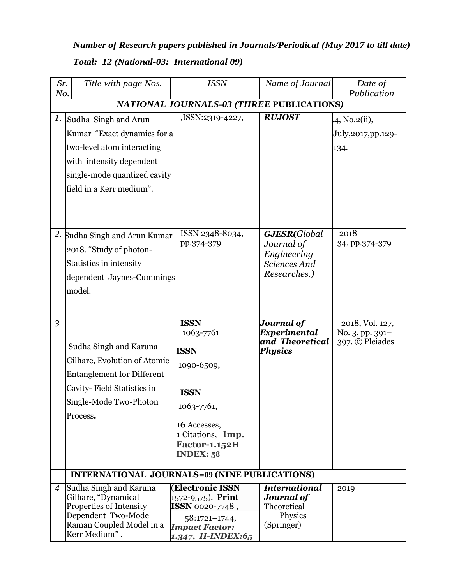| Number of Research papers published in Journals/Periodical (May 2017 to till date) |
|------------------------------------------------------------------------------------|
| Total: 12 (National-03: International 09)                                          |

| Sr.<br>No.                                | Title with page Nos.                                                                                                                                                      | <b>ISSN</b>                                                                                                                                                    | Name of Journal                                                            | Date of<br>Publication                                |
|-------------------------------------------|---------------------------------------------------------------------------------------------------------------------------------------------------------------------------|----------------------------------------------------------------------------------------------------------------------------------------------------------------|----------------------------------------------------------------------------|-------------------------------------------------------|
| NATIONAL JOURNALS-03 (THREE PUBLICATIONS) |                                                                                                                                                                           |                                                                                                                                                                |                                                                            |                                                       |
| 1.                                        | Sudha Singh and Arun<br>Kumar "Exact dynamics for a<br>two-level atom interacting<br>with intensity dependent<br>single-mode quantized cavity<br>field in a Kerr medium". | ,ISSN:2319-4227,                                                                                                                                               | <b>RUJOST</b>                                                              | 4, No.2(ii),<br>July, 2017, pp. 129-<br>134.          |
| 2.                                        | Sudha Singh and Arun Kumar<br>2018. "Study of photon-<br>Statistics in intensity<br>dependent Jaynes-Cummings<br>model.                                                   | ISSN 2348-8034,<br>pp.374-379                                                                                                                                  | GJESR(Global<br>Journal of<br>Engineering<br>Sciences And<br>Researches.)  | 2018<br>34, pp.374-379                                |
| $\mathfrak{Z}$                            | Sudha Singh and Karuna<br>Gilhare, Evolution of Atomic<br><b>Entanglement for Different</b><br>Cavity- Field Statistics in<br>Single-Mode Two-Photon<br>Process.          | <b>ISSN</b><br>1063-7761<br><b>ISSN</b><br>1090-6509,<br><b>ISSN</b><br>1063-7761,<br>16 Accesses,<br>1 Citations, Imp.<br><b>Factor-1.152H</b><br>INDEX: $58$ | Journal of<br><b>Experimental</b><br>and Theoretical<br><b>Physics</b>     | 2018, Vol. 127,<br>No. 3, pp. 391-<br>397. © Pleiades |
|                                           | <b>INTERNATIONAL JOURNALS=09 (NINE PUBLICATIONS)</b>                                                                                                                      |                                                                                                                                                                |                                                                            |                                                       |
| $\overline{4}$                            | Sudha Singh and Karuna<br>Gilhare, "Dynamical<br>Properties of Intensity<br>Dependent Two-Mode<br>Raman Coupled Model in a<br>Kerr Medium".                               | <b>(Electronic ISSN</b><br>1572-9575), <b>Print</b><br>ISSN 0020-7748,<br>$58:1721-1744,$<br><b>Impact Factor:</b><br>1.347, H-INDEX:65                        | <b>International</b><br>Journal of<br>Theoretical<br>Physics<br>(Springer) | 2019                                                  |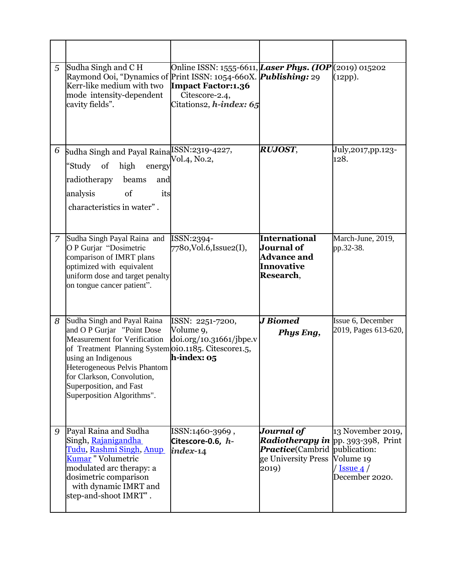| 5             | Sudha Singh and CH<br>Raymond Ooi, "Dynamics of Print ISSN: 1054-660X. <i>Publishing:</i> 29<br>Kerr-like medium with two<br>mode intensity-dependent<br>cavity fields".                                                                                                                               | Online ISSN: 1555-6611, <i>Laser Phys. (IOP</i> (2019) 015202<br><b>Impact Factor:1.36</b><br>Citescore-2.4,<br>Citations2, <i>h-index:</i> 65 |                                                                                                                     | (12pp).                                                                                     |
|---------------|--------------------------------------------------------------------------------------------------------------------------------------------------------------------------------------------------------------------------------------------------------------------------------------------------------|------------------------------------------------------------------------------------------------------------------------------------------------|---------------------------------------------------------------------------------------------------------------------|---------------------------------------------------------------------------------------------|
| 6             | Sudha Singh and Payal Raina <sup>ISSN:2319-4227,</sup><br>high<br>"Study<br>of<br>energy<br>radiotherapy<br>beams<br>and<br>of<br>analysis<br>its<br>characteristics in water".                                                                                                                        | Vol.4, No.2,                                                                                                                                   | <b>RUJOST,</b>                                                                                                      | July,2017,pp.123-<br>128.                                                                   |
| $\mathcal{I}$ | Sudha Singh Payal Raina and<br>O P Gurjar "Dosimetric<br>comparison of IMRT plans<br>optimized with equivalent<br>uniform dose and target penalty<br>on tongue cancer patient".                                                                                                                        | ISSN:2394-<br>7780, Vol.6, Issue 2(I),                                                                                                         | International<br>Journal of<br><b>Advance and</b><br>Innovative<br>Research,                                        | March-June, 2019,<br>pp.32-38.                                                              |
| 8             | Sudha Singh and Payal Raina<br>and O P Gurjar "Point Dose<br><b>Measurement for Verification</b><br>of Treatment Planning System 0io.1185. Citescore1.5,<br>using an Indigenous<br>Heterogeneous Pelvis Phantom<br>for Clarkson, Convolution,<br>Superposition, and Fast<br>Superposition Algorithms". | ISSN: 2251-7200,<br>Volume 9,<br>$\frac{1}{10.31661}$<br>$h$ -index: $05$                                                                      | <b>J</b> Biomed<br>Phys Eng,                                                                                        | Issue 6, December<br>2019, Pages 613-620,                                                   |
| 9             | Payal Raina and Sudha<br>Singh, Rajanigandha<br><u>Tudu, Rashmi Singh, Anup-</u><br>Kumar "Volumetric<br>modulated arc therapy: a<br>dosimetric comparison<br>with dynamic IMRT and<br>step-and-shoot IMRT".                                                                                           | ISSN:1460-3969,<br>Citescore-0.6, h-<br>index-14                                                                                               | Journal of<br><b>Radiotherapy in</b> pp. 393-398, Print<br><b>Practice</b> (Cambrid<br>ge University Press<br>2019) | 13 November 2019,<br>publication:<br>Volume 19<br>$\sqrt{\text{Issue 4}}$<br>December 2020. |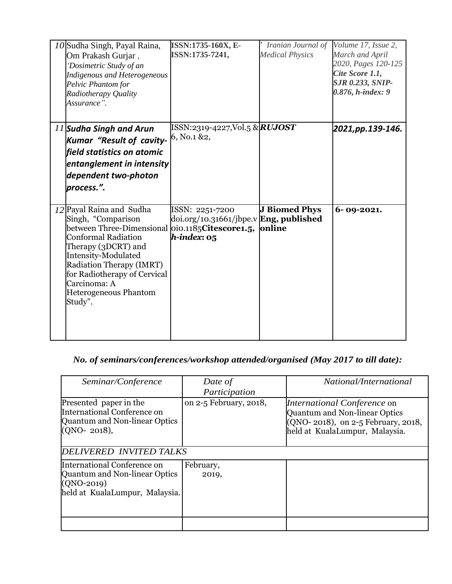| 10 Sudha Singh, Payal Raina,<br>Om Prakash Gurjar,<br>'Dosimetric Study of an<br><b>Indigenous and Heterogeneous</b><br>Pelvic Phantom for<br>Radiotherapy Quality<br>Assurance".                                                                                                             | ISSN:1735-160X, E-<br>ISSN:1735-7241,                                         | Iranian Journal of<br><b>Medical Physics</b> | Volume 17, Issue 2,<br>March and April<br>2020, Pages 120-125<br>Cite Score 1.1,<br><b>SJR 0.233, SNIP-</b><br>0.876, h-index: 9 |
|-----------------------------------------------------------------------------------------------------------------------------------------------------------------------------------------------------------------------------------------------------------------------------------------------|-------------------------------------------------------------------------------|----------------------------------------------|----------------------------------------------------------------------------------------------------------------------------------|
| 11 Sudha Singh and Arun<br>Kumar "Result of cavity-<br>field statistics on atomic<br>entanglement in intensity<br>dependent two-photon<br>process.".                                                                                                                                          | ISSN:2319-4227,Vol.5 & <i>RUJOST</i><br>6, No.1 &2,                           |                                              | 2021, pp. 139-146.                                                                                                               |
| 12 Payal Raina and Sudha<br>Singh, "Comparison<br>between Three-Dimensional oio.1185Citescore1.5,<br><b>Conformal Radiation</b><br>Therapy (3DCRT) and<br>Intensity-Modulated<br>Radiation Therapy (IMRT)<br>for Radiotherapy of Cervical<br>Carcinoma: A<br>Heterogeneous Phantom<br>Study". | ISSN: 2251-7200<br>doi.org/10.31661/jbpe.v Eng, published<br>$h$ -index: $05$ | <b>J Biomed Phys</b><br>online               | $6 - 09 - 2021.$                                                                                                                 |

## *No. of seminars/conferences/workshop attended/organised (May 2017 to till date):*

| Seminar/Conference                                                                                     | Date of                | National/International                                                                                                                      |
|--------------------------------------------------------------------------------------------------------|------------------------|---------------------------------------------------------------------------------------------------------------------------------------------|
|                                                                                                        | Participation          |                                                                                                                                             |
| Presented paper in the<br>International Conference on<br>Quantum and Non-linear Optics<br>(QNO- 2018), | on 2-5 February, 2018, | <i>International Conference</i> on<br>Quantum and Non-linear Optics<br>(QNO-2018), on 2-5 February, 2018,<br>held at KualaLumpur, Malaysia. |
| DELIVERED INVITED TALKS                                                                                |                        |                                                                                                                                             |
| International Conference on                                                                            | February,              |                                                                                                                                             |
| Quantum and Non-linear Optics<br>$(QNO-2019)$                                                          | 2019,                  |                                                                                                                                             |
| held at KualaLumpur, Malaysia.                                                                         |                        |                                                                                                                                             |
|                                                                                                        |                        |                                                                                                                                             |